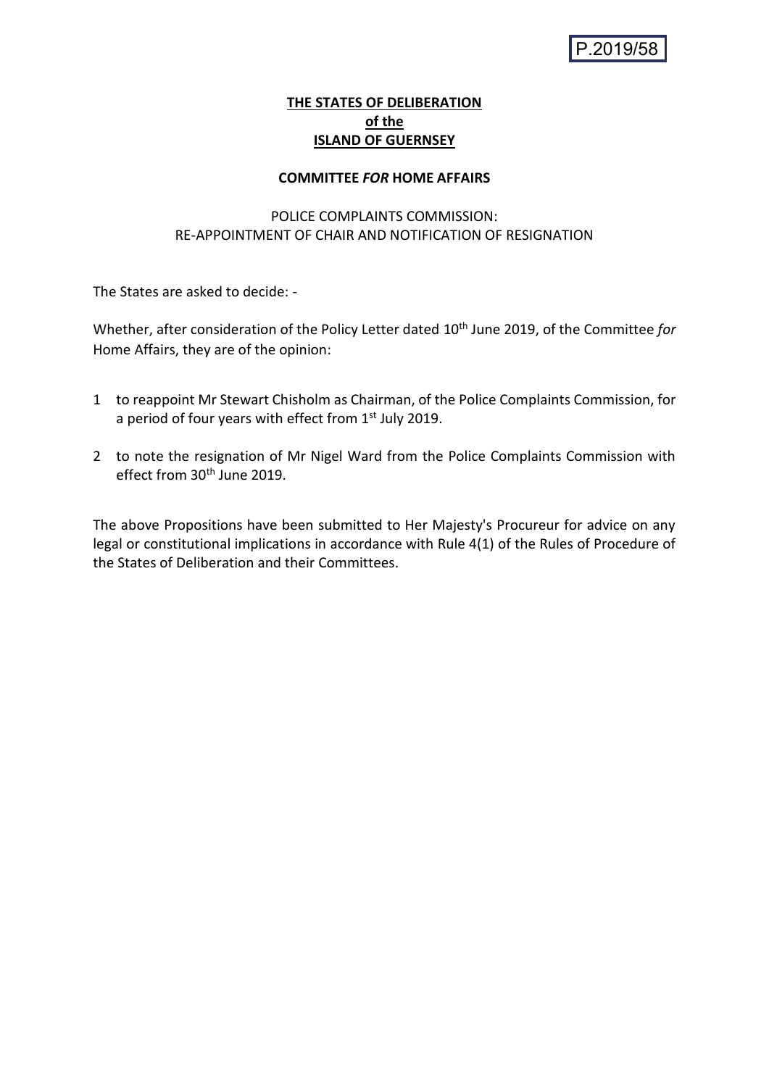# **THE STATES OF DELIBERATION of the ISLAND OF GUERNSEY**

### **COMMITTEE** *FOR* **HOME AFFAIRS**

# POLICE COMPLAINTS COMMISSION: RE-APPOINTMENT OF CHAIR AND NOTIFICATION OF RESIGNATION

The States are asked to decide: -

Whether, after consideration of the Policy Letter dated 10th June 2019, of the Committee *for* Home Affairs, they are of the opinion:

- 1 to reappoint Mr Stewart Chisholm as Chairman, of the Police Complaints Commission, for a period of four years with effect from 1st July 2019.
- 2 to note the resignation of Mr Nigel Ward from the Police Complaints Commission with effect from  $30<sup>th</sup>$  June 2019.

The above Propositions have been submitted to Her Majesty's Procureur for advice on any legal or constitutional implications in accordance with Rule 4(1) of the Rules of Procedure of the States of Deliberation and their Committees.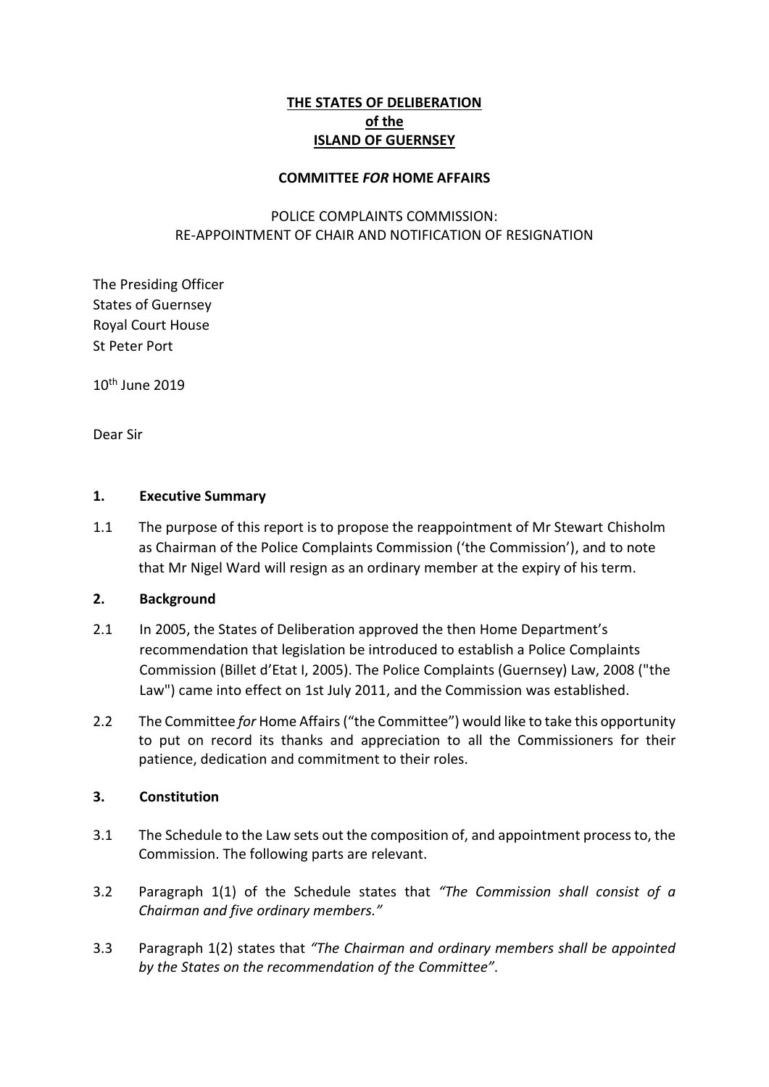# **THE STATES OF DELIBERATION of the ISLAND OF GUERNSEY**

#### **COMMITTEE** *FOR* **HOME AFFAIRS**

# POLICE COMPLAINTS COMMISSION: RE-APPOINTMENT OF CHAIR AND NOTIFICATION OF RESIGNATION

The Presiding Officer States of Guernsey Royal Court House St Peter Port

10th June 2019

Dear Sir

### **1. Executive Summary**

1.1 The purpose of this report is to propose the reappointment of Mr Stewart Chisholm as Chairman of the Police Complaints Commission ('the Commission'), and to note that Mr Nigel Ward will resign as an ordinary member at the expiry of his term.

#### **2. Background**

- 2.1 In 2005, the States of Deliberation approved the then Home Department's recommendation that legislation be introduced to establish a Police Complaints Commission (Billet d'Etat I, 2005). The Police Complaints (Guernsey) Law, 2008 ("the Law") came into effect on 1st July 2011, and the Commission was established.
- 2.2 The Committee *for* Home Affairs ("the Committee") would like to take this opportunity to put on record its thanks and appreciation to all the Commissioners for their patience, dedication and commitment to their roles.

## **3. Constitution**

- 3.1 The Schedule to the Law sets out the composition of, and appointment process to, the Commission. The following parts are relevant.
- 3.2 Paragraph 1(1) of the Schedule states that *"The Commission shall consist of a Chairman and five ordinary members."*
- 3.3 Paragraph 1(2) states that *"The Chairman and ordinary members shall be appointed by the States on the recommendation of the Committee"*.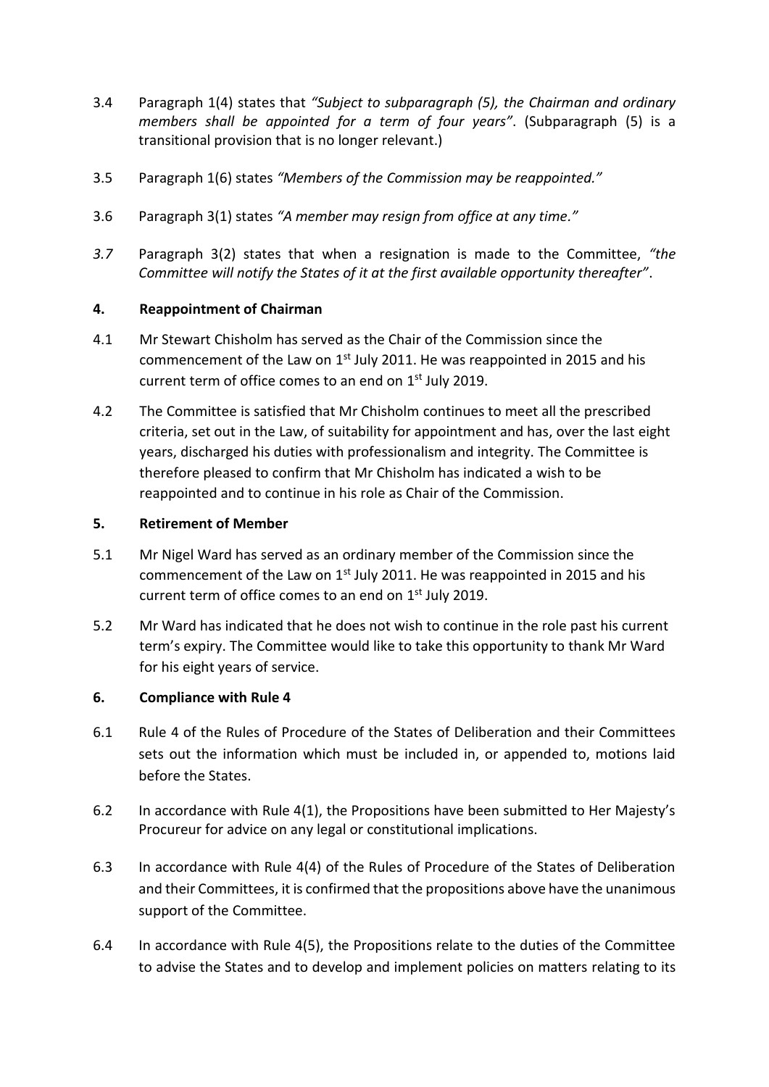- 3.4 Paragraph 1(4) states that *"Subject to subparagraph (5), the Chairman and ordinary members shall be appointed for a term of four years"*. (Subparagraph (5) is a transitional provision that is no longer relevant.)
- 3.5 Paragraph 1(6) states *"Members of the Commission may be reappointed."*
- 3.6 Paragraph 3(1) states *"A member may resign from office at any time."*
- *3.7* Paragraph 3(2) states that when a resignation is made to the Committee, *"the Committee will notify the States of it at the first available opportunity thereafter"*.

## **4. Reappointment of Chairman**

- 4.1 Mr Stewart Chisholm has served as the Chair of the Commission since the commencement of the Law on  $1<sup>st</sup>$  July 2011. He was reappointed in 2015 and his current term of office comes to an end on 1<sup>st</sup> July 2019.
- 4.2 The Committee is satisfied that Mr Chisholm continues to meet all the prescribed criteria, set out in the Law, of suitability for appointment and has, over the last eight years, discharged his duties with professionalism and integrity. The Committee is therefore pleased to confirm that Mr Chisholm has indicated a wish to be reappointed and to continue in his role as Chair of the Commission.

### **5. Retirement of Member**

- 5.1 Mr Nigel Ward has served as an ordinary member of the Commission since the commencement of the Law on 1<sup>st</sup> July 2011. He was reappointed in 2015 and his current term of office comes to an end on 1<sup>st</sup> July 2019.
- 5.2 Mr Ward has indicated that he does not wish to continue in the role past his current term's expiry. The Committee would like to take this opportunity to thank Mr Ward for his eight years of service.

## **6. Compliance with Rule 4**

- 6.1 Rule 4 of the Rules of Procedure of the States of Deliberation and their Committees sets out the information which must be included in, or appended to, motions laid before the States.
- 6.2 In accordance with Rule 4(1), the Propositions have been submitted to Her Majesty's Procureur for advice on any legal or constitutional implications.
- 6.3 In accordance with Rule 4(4) of the Rules of Procedure of the States of Deliberation and their Committees, it is confirmed that the propositions above have the unanimous support of the Committee.
- 6.4 In accordance with Rule 4(5), the Propositions relate to the duties of the Committee to advise the States and to develop and implement policies on matters relating to its